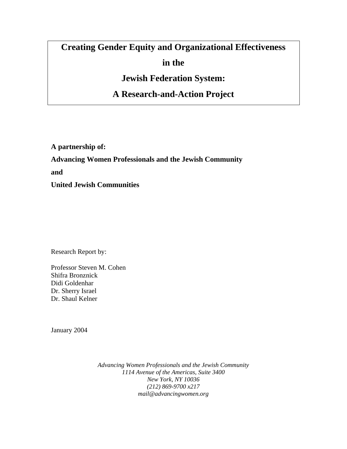# **Creating Gender Equity and Organizational Effectiveness in the**

**Jewish Federation System:** 

**A Research-and-Action Project** 

**A partnership of: Advancing Women Professionals and the Jewish Community and United Jewish Communities** 

Research Report by:

Professor Steven M. Cohen Shifra Bronznick Didi Goldenhar Dr. Sherry Israel Dr. Shaul Kelner

January 2004

*Advancing Women Professionals and the Jewish Community 1114 Avenue of the Americas, Suite 3400 New York, NY 10036 (212) 869-9700 x217 mail@advancingwomen.org*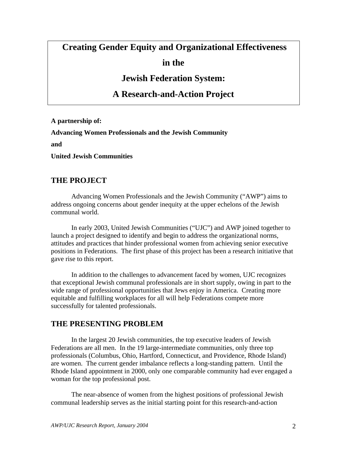## **Creating Gender Equity and Organizational Effectiveness**

**in the** 

**Jewish Federation System:** 

**A Research-and-Action Project** 

**A partnership of: Advancing Women Professionals and the Jewish Community and United Jewish Communities** 

## **THE PROJECT**

Advancing Women Professionals and the Jewish Community ("AWP") aims to address ongoing concerns about gender inequity at the upper echelons of the Jewish communal world.

In early 2003, United Jewish Communities ("UJC") and AWP joined together to launch a project designed to identify and begin to address the organizational norms, attitudes and practices that hinder professional women from achieving senior executive positions in Federations. The first phase of this project has been a research initiative that gave rise to this report.

In addition to the challenges to advancement faced by women, UJC recognizes that exceptional Jewish communal professionals are in short supply, owing in part to the wide range of professional opportunities that Jews enjoy in America. Creating more equitable and fulfilling workplaces for all will help Federations compete more successfully for talented professionals.

## **THE PRESENTING PROBLEM**

 In the largest 20 Jewish communities, the top executive leaders of Jewish Federations are all men. In the 19 large-intermediate communities, only three top professionals (Columbus, Ohio, Hartford, Connecticut, and Providence, Rhode Island) are women. The current gender imbalance reflects a long-standing pattern. Until the Rhode Island appointment in 2000, only one comparable community had ever engaged a woman for the top professional post.

The near-absence of women from the highest positions of professional Jewish communal leadership serves as the initial starting point for this research-and-action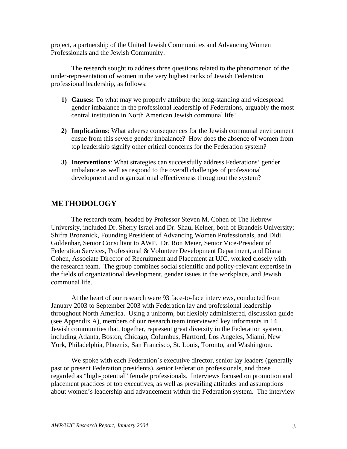project, a partnership of the United Jewish Communities and Advancing Women Professionals and the Jewish Community.

The research sought to address three questions related to the phenomenon of the under-representation of women in the very highest ranks of Jewish Federation professional leadership, as follows:

- **1) Causes:** To what may we properly attribute the long-standing and widespread gender imbalance in the professional leadership of Federations, arguably the most central institution in North American Jewish communal life?
- **2) Implications**: What adverse consequences for the Jewish communal environment ensue from this severe gender imbalance? How does the absence of women from top leadership signify other critical concerns for the Federation system?
- **3) Interventions**: What strategies can successfully address Federations' gender imbalance as well as respond to the overall challenges of professional development and organizational effectiveness throughout the system?

## **METHODOLOGY**

 The research team, headed by Professor Steven M. Cohen of The Hebrew University, included Dr. Sherry Israel and Dr. Shaul Kelner, both of Brandeis University; Shifra Bronznick, Founding President of Advancing Women Professionals, and Didi Goldenhar, Senior Consultant to AWP. Dr. Ron Meier, Senior Vice-President of Federation Services, Professional & Volunteer Development Department, and Diana Cohen, Associate Director of Recruitment and Placement at UJC, worked closely with the research team. The group combines social scientific and policy-relevant expertise in the fields of organizational development, gender issues in the workplace, and Jewish communal life.

At the heart of our research were 93 face-to-face interviews, conducted from January 2003 to September 2003 with Federation lay and professional leadership throughout North America. Using a uniform, but flexibly administered, discussion guide (see Appendix A), members of our research team interviewed key informants in 14 Jewish communities that, together, represent great diversity in the Federation system, including Atlanta, Boston, Chicago, Columbus, Hartford, Los Angeles, Miami, New York, Philadelphia, Phoenix, San Francisco, St. Louis, Toronto, and Washington.

We spoke with each Federation's executive director, senior lay leaders (generally past or present Federation presidents), senior Federation professionals, and those regarded as "high-potential" female professionals. Interviews focused on promotion and placement practices of top executives, as well as prevailing attitudes and assumptions about women's leadership and advancement within the Federation system. The interview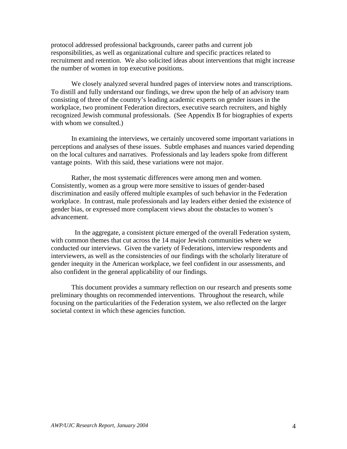protocol addressed professional backgrounds, career paths and current job responsibilities, as well as organizational culture and specific practices related to recruitment and retention. We also solicited ideas about interventions that might increase the number of women in top executive positions.

We closely analyzed several hundred pages of interview notes and transcriptions. To distill and fully understand our findings, we drew upon the help of an advisory team consisting of three of the country's leading academic experts on gender issues in the workplace, two prominent Federation directors, executive search recruiters, and highly recognized Jewish communal professionals. (See Appendix B for biographies of experts with whom we consulted.)

 In examining the interviews, we certainly uncovered some important variations in perceptions and analyses of these issues. Subtle emphases and nuances varied depending on the local cultures and narratives. Professionals and lay leaders spoke from different vantage points. With this said, these variations were not major.

Rather, the most systematic differences were among men and women. Consistently, women as a group were more sensitive to issues of gender-based discrimination and easily offered multiple examples of such behavior in the Federation workplace. In contrast, male professionals and lay leaders either denied the existence of gender bias, or expressed more complacent views about the obstacles to women's advancement.

 In the aggregate, a consistent picture emerged of the overall Federation system, with common themes that cut across the 14 major Jewish communities where we conducted our interviews. Given the variety of Federations, interview respondents and interviewers, as well as the consistencies of our findings with the scholarly literature of gender inequity in the American workplace, we feel confident in our assessments, and also confident in the general applicability of our findings.

This document provides a summary reflection on our research and presents some preliminary thoughts on recommended interventions. Throughout the research, while focusing on the particularities of the Federation system, we also reflected on the larger societal context in which these agencies function.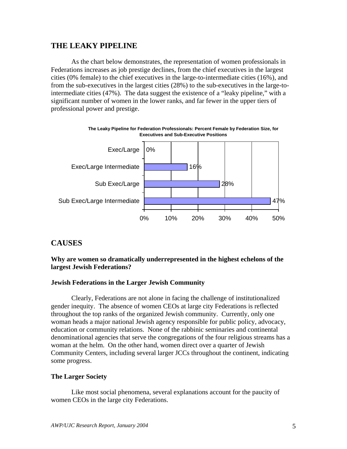## **THE LEAKY PIPELINE**

As the chart below demonstrates, the representation of women professionals in Federations increases as job prestige declines, from the chief executives in the largest cities (0% female) to the chief executives in the large-to-intermediate cities (16%), and from the sub-executives in the largest cities (28%) to the sub-executives in the large-tointermediate cities (47%). The data suggest the existence of a "leaky pipeline," with a significant number of women in the lower ranks, and far fewer in the upper tiers of professional power and prestige.



## **CAUSES**

#### **Why are women so dramatically underrepresented in the highest echelons of the largest Jewish Federations?**

#### **Jewish Federations in the Larger Jewish Community**

Clearly, Federations are not alone in facing the challenge of institutionalized gender inequity. The absence of women CEOs at large city Federations is reflected throughout the top ranks of the organized Jewish community. Currently, only one woman heads a major national Jewish agency responsible for public policy, advocacy, education or community relations. None of the rabbinic seminaries and continental denominational agencies that serve the congregations of the four religious streams has a woman at the helm. On the other hand, women direct over a quarter of Jewish Community Centers, including several larger JCCs throughout the continent, indicating some progress.

#### **The Larger Society**

Like most social phenomena, several explanations account for the paucity of women CEOs in the large city Federations.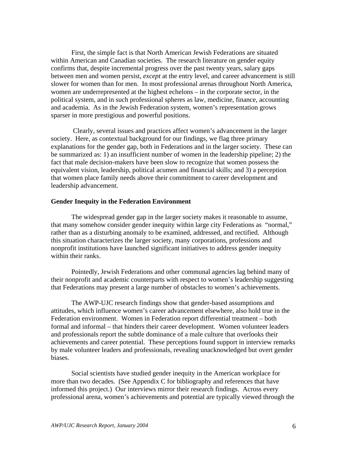First, the simple fact is that North American Jewish Federations are situated within American and Canadian societies. The research literature on gender equity confirms that, despite incremental progress over the past twenty years, salary gaps between men and women persist, *except* at the entry level, and career advancement is still slower for women than for men. In most professional arenas throughout North America, women are underrepresented at the highest echelons – in the corporate sector, in the political system, and in such professional spheres as law, medicine, finance, accounting and academia. As in the Jewish Federation system, women's representation grows sparser in more prestigious and powerful positions.

 Clearly, several issues and practices affect women's advancement in the larger society. Here, as contextual background for our findings, we flag three primary explanations for the gender gap, both in Federations and in the larger society. These can be summarized as: 1) an insufficient number of women in the leadership pipeline; 2) the fact that male decision-makers have been slow to recognize that women possess the equivalent vision, leadership, political acumen and financial skills; and 3) a perception that women place family needs above their commitment to career development and leadership advancement.

#### **Gender Inequity in the Federation Environment**

The widespread gender gap in the larger society makes it reasonable to assume, that many somehow consider gender inequity within large city Federations as "normal," rather than as a disturbing anomaly to be examined, addressed, and rectified. Although this situation characterizes the larger society, many corporations, professions and nonprofit institutions have launched significant initiatives to address gender inequity within their ranks.

Pointedly, Jewish Federations and other communal agencies lag behind many of their nonprofit and academic counterparts with respect to women's leadership suggesting that Federations may present a large number of obstacles to women's achievements.

 The AWP-UJC research findings show that gender-based assumptions and attitudes, which influence women's career advancement elsewhere, also hold true in the Federation environment. Women in Federation report differential treatment – both formal and informal – that hinders their career development. Women volunteer leaders and professionals report the subtle dominance of a male culture that overlooks their achievements and career potential. These perceptions found support in interview remarks by male volunteer leaders and professionals, revealing unacknowledged but overt gender biases.

Social scientists have studied gender inequity in the American workplace for more than two decades. (See Appendix C for bibliography and references that have informed this project.) Our interviews mirror their research findings. Across every professional arena, women's achievements and potential are typically viewed through the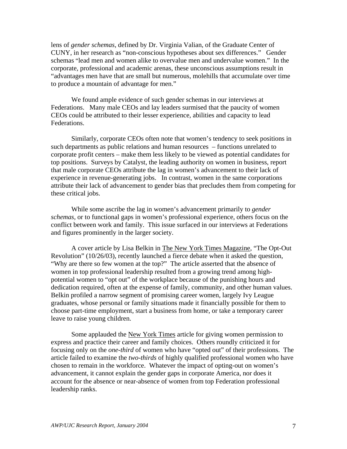lens of *gender schemas*, defined by Dr. Virginia Valian, of the Graduate Center of CUNY, in her research as "non-conscious hypotheses about sex differences." Gender schemas "lead men and women alike to overvalue men and undervalue women." In the corporate, professional and academic arenas, these unconscious assumptions result in "advantages men have that are small but numerous, molehills that accumulate over time to produce a mountain of advantage for men."

We found ample evidence of such gender schemas in our interviews at Federations. Many male CEOs and lay leaders surmised that the paucity of women CEOs could be attributed to their lesser experience, abilities and capacity to lead Federations.

Similarly, corporate CEOs often note that women's tendency to seek positions in such departments as public relations and human resources – functions unrelated to corporate profit centers – make them less likely to be viewed as potential candidates for top positions. Surveys by Catalyst, the leading authority on women in business, report that male corporate CEOs attribute the lag in women's advancement to their lack of experience in revenue-generating jobs. In contrast, women in the same corporations attribute their lack of advancement to gender bias that precludes them from competing for these critical jobs.

While some ascribe the lag in women's advancement primarily to *gender schemas,* or to functional gaps in women's professional experience, others focus on the conflict between work and family. This issue surfaced in our interviews at Federations and figures prominently in the larger society.

A cover article by Lisa Belkin in The New York Times Magazine, "The Opt-Out Revolution" (10/26/03), recently launched a fierce debate when it asked the question, "Why are there so few women at the top?" The article asserted that the absence of women in top professional leadership resulted from a growing trend among highpotential women to "opt out" of the workplace because of the punishing hours and dedication required, often at the expense of family, community, and other human values. Belkin profiled a narrow segment of promising career women, largely Ivy League graduates, whose personal or family situations made it financially possible for them to choose part-time employment, start a business from home, or take a temporary career leave to raise young children.

Some applauded the New York Times article for giving women permission to express and practice their career and family choices. Others roundly criticized it for focusing only on the *one-third* of women who have "opted out" of their professions. The article failed to examine the *two-thirds* of highly qualified professional women who have chosen to remain in the workforce. Whatever the impact of opting-out on women's advancement, it cannot explain the gender gaps in corporate America, nor does it account for the absence or near-absence of women from top Federation professional leadership ranks.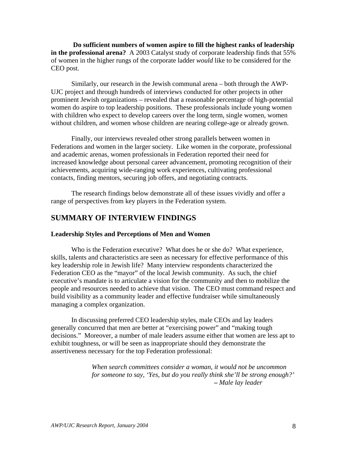**Do sufficient numbers of women aspire to fill the highest ranks of leadership in the professional arena?** A 2003 Catalyst study of corporate leadership finds that 55% of women in the higher rungs of the corporate ladder *would* like to be considered for the CEO post.

Similarly, our research in the Jewish communal arena – both through the AWP-UJC project and through hundreds of interviews conducted for other projects in other prominent Jewish organizations – revealed that a reasonable percentage of high-potential women do aspire to top leadership positions. These professionals include young women with children who expect to develop careers over the long term, single women, women without children, and women whose children are nearing college-age or already grown.

Finally, our interviews revealed other strong parallels between women in Federations and women in the larger society. Like women in the corporate, professional and academic arenas, women professionals in Federation reported their need for increased knowledge about personal career advancement, promoting recognition of their achievements, acquiring wide-ranging work experiences, cultivating professional contacts, finding mentors, securing job offers, and negotiating contracts.

The research findings below demonstrate all of these issues vividly and offer a range of perspectives from key players in the Federation system.

## **SUMMARY OF INTERVIEW FINDINGS**

#### **Leadership Styles and Perceptions of Men and Women**

Who is the Federation executive? What does he or she do? What experience, skills, talents and characteristics are seen as necessary for effective performance of this key leadership role in Jewish life?Many interview respondents characterized the Federation CEO as the "mayor" of the local Jewish community. As such, the chief executive's mandate is to articulate a vision for the community and then to mobilize the people and resources needed to achieve that vision. The CEO must command respect and build visibility as a community leader and effective fundraiser while simultaneously managing a complex organization.

In discussing preferred CEO leadership styles, male CEOs and lay leaders generally concurred that men are better at "exercising power" and "making tough decisions." Moreover, a number of male leaders assume either that women are less apt to exhibit toughness, or will be seen as inappropriate should they demonstrate the assertiveness necessary for the top Federation professional:

> *When search committees consider a woman, it would not be uncommon for someone to say, 'Yes, but do you really think she'll be strong enough?'*  **–** *Male lay leader*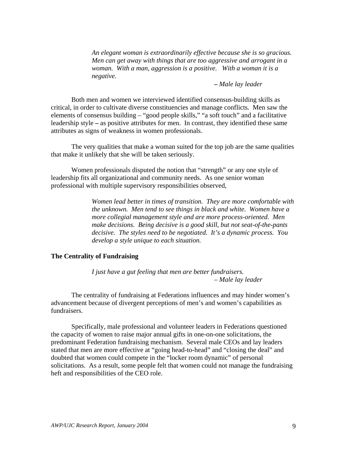*An elegant woman is extraordinarily effective because she is so gracious. Men can get away with things that are too aggressive and arrogant in a woman. With a man, aggression is a positive. With a woman it is a negative.* 

#### **–** *Male lay leader*

Both men and women we interviewed identified consensus-building skills as critical, in order to cultivate diverse constituencies and manage conflicts. Men saw the elements of consensus building – "good people skills," "a soft touch" and a facilitative leadership style **–** as positive attributes for men. In contrast, they identified these same attributes as signs of weakness in women professionals.

The very qualities that make a woman suited for the top job are the same qualities that make it unlikely that she will be taken seriously.

 Women professionals disputed the notion that "strength" or any one style of leadership fits all organizational and community needs. As one senior woman professional with multiple supervisory responsibilities observed,

> *Women lead better in times of transition. They are more comfortable with the unknown. Men tend to see things in black and white. Women have a more collegial management style and are more process-oriented. Men make decisions. Being decisive is a good skill, but not seat-of-the-pants decisive. The styles need to be negotiated. It's a dynamic process. You develop a style unique to each situation.*

#### **The Centrality of Fundraising**

*I just have a gut feeling that men are better fundraisers. – Male lay leader* 

The centrality of fundraising at Federations influences and may hinder women's advancement because of divergent perceptions of men's and women's capabilities as fundraisers.

Specifically, male professional and volunteer leaders in Federations questioned the capacity of women to raise major annual gifts in one-on-one solicitations, the predominant Federation fundraising mechanism. Several male CEOs and lay leaders stated that men are more effective at "going head-to-head" and "closing the deal" and doubted that women could compete in the "locker room dynamic" of personal solicitations. As a result, some people felt that women could not manage the fundraising heft and responsibilities of the CEO role.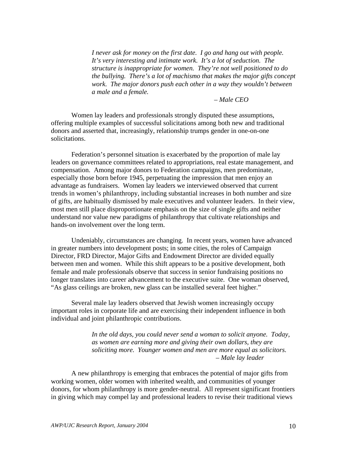*I never ask for money on the first date. I go and hang out with people. It's very interesting and intimate work. It's a lot of seduction. The structure is inappropriate for women. They're not well positioned to do the bullying. There's a lot of machismo that makes the major gifts concept work. The major donors push each other in a way they wouldn't between a male and a female.* 

*– Male CEO* 

Women lay leaders and professionals strongly disputed these assumptions, offering multiple examples of successful solicitations among both new and traditional donors and asserted that, increasingly, relationship trumps gender in one-on-one solicitations.

Federation's personnel situation is exacerbated by the proportion of male lay leaders on governance committees related to appropriations, real estate management, and compensation. Among major donors to Federation campaigns, men predominate, especially those born before 1945, perpetuating the impression that men enjoy an advantage as fundraisers. Women lay leaders we interviewed observed that current trends in women's philanthropy, including substantial increases in both number and size of gifts, are habitually dismissed by male executives and volunteer leaders. In their view, most men still place disproportionate emphasis on the size of single gifts and neither understand nor value new paradigms of philanthropy that cultivate relationships and hands-on involvement over the long term.

Undeniably, circumstances are changing. In recent years, women have advanced in greater numbers into development posts; in some cities, the roles of Campaign Director, FRD Director, Major Gifts and Endowment Director are divided equally between men and women. While this shift appears to be a positive development, both female and male professionals observe that success in senior fundraising positions no longer translates into career advancement to the executive suite. One woman observed, "As glass ceilings are broken, new glass can be installed several feet higher."

Several male lay leaders observed that Jewish women increasingly occupy important roles in corporate life and are exercising their independent influence in both individual and joint philanthropic contributions.

> *In the old days, you could never send a woman to solicit anyone. Today, as women are earning more and giving their own dollars, they are soliciting more. Younger women and men are more equal as solicitors. – Male lay leader*

A new philanthropy is emerging that embraces the potential of major gifts from working women, older women with inherited wealth, and communities of younger donors, for whom philanthropy is more gender-neutral. All represent significant frontiers in giving which may compel lay and professional leaders to revise their traditional views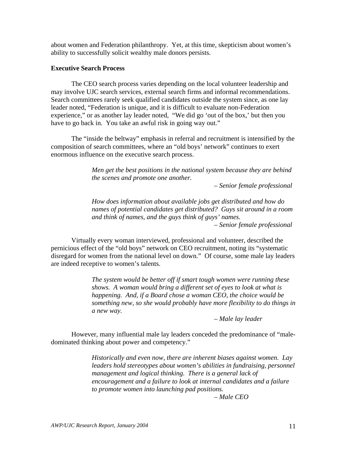about women and Federation philanthropy. Yet, at this time, skepticism about women's ability to successfully solicit wealthy male donors persists.

#### **Executive Search Process**

 The CEO search process varies depending on the local volunteer leadership and may involve UJC search services, external search firms and informal recommendations. Search committees rarely seek qualified candidates outside the system since, as one lay leader noted, "Federation is unique, and it is difficult to evaluate non-Federation experience," or as another lay leader noted, "We did go 'out of the box,' but then you have to go back in. You take an awful risk in going way out."

The "inside the beltway" emphasis in referral and recruitment is intensified by the composition of search committees, where an "old boys' network" continues to exert enormous influence on the executive search process.

> *Men get the best positions in the national system because they are behind the scenes and promote one another.*

> > *– Senior female professional*

*How does information about available jobs get distributed and how do names of potential candidates get distributed? Guys sit around in a room and think of names, and the guys think of guys' names. – Senior female professional* 

Virtually every woman interviewed, professional and volunteer, described the pernicious effect of the "old boys" network on CEO recruitment, noting its "systematic disregard for women from the national level on down." Of course, some male lay leaders are indeed receptive to women's talents.

> *The system would be better off if smart tough women were running these shows. A woman would bring a different set of eyes to look at what is happening. And, if a Board chose a woman CEO, the choice would be something new, so she would probably have more flexibility to do things in a new way.*

> > *– Male lay leader*

However, many influential male lay leaders conceded the predominance of "maledominated thinking about power and competency."

> *Historically and even now, there are inherent biases against women. Lay leaders hold stereotypes about women's abilities in fundraising, personnel management and logical thinking. There is a general lack of encouragement and a failure to look at internal candidates and a failure to promote women into launching pad positions.*

> > *– Male CEO*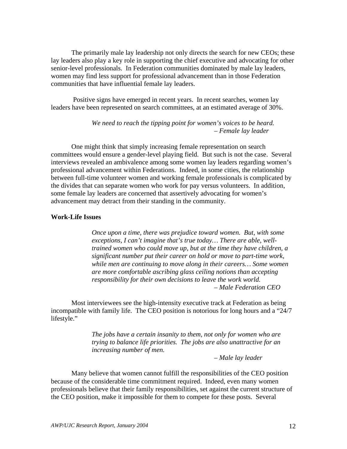The primarily male lay leadership not only directs the search for new CEOs; these lay leaders also play a key role in supporting the chief executive and advocating for other senior-level professionals. In Federation communities dominated by male lay leaders, women may find less support for professional advancement than in those Federation communities that have influential female lay leaders.

 Positive signs have emerged in recent years. In recent searches, women lay leaders have been represented on search committees, at an estimated average of 30%.

> *We need to reach the tipping point for women's voices to be heard.*  – *Female lay leader*

One might think that simply increasing female representation on search committees would ensure a gender-level playing field. But such is not the case. Several interviews revealed an ambivalence among some women lay leaders regarding women's professional advancement within Federations. Indeed, in some cities, the relationship between full-time volunteer women and working female professionals is complicated by the divides that can separate women who work for pay versus volunteers. In addition, some female lay leaders are concerned that assertively advocating for women's advancement may detract from their standing in the community.

#### **Work-Life Issues**

*Once upon a time, there was prejudice toward women. But, with some exceptions, I can't imagine that's true today… There are able, welltrained women who could move up, but at the time they have children, a significant number put their career on hold or move to part-time work, while men are continuing to move along in their careers… Some women are more comfortable ascribing glass ceiling notions than accepting responsibility for their own decisions to leave the work world. – Male Federation CEO* 

Most interviewees see the high-intensity executive track at Federation as being incompatible with family life. The CEO position is notorious for long hours and a "24/7 lifestyle."

> *The jobs have a certain insanity to them, not only for women who are trying to balance life priorities. The jobs are also unattractive for an increasing number of men.*

> > – *Male lay leader*

Many believe that women cannot fulfill the responsibilities of the CEO position because of the considerable time commitment required. Indeed, even many women professionals believe that their family responsibilities, set against the current structure of the CEO position, make it impossible for them to compete for these posts. Several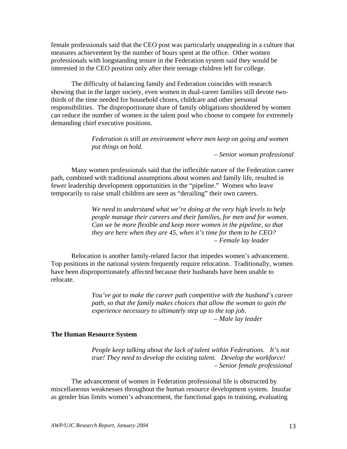female professionals said that the CEO post was particularly unappealing in a culture that measures achievement by the number of hours spent at the office. Other women professionals with longstanding tenure in the Federation system said they would be interested in the CEO position only after their teenage children left for college.

The difficulty of balancing family and Federation coincides with research showing that in the larger society, even women in dual-career families still devote twothirds of the time needed for household chores, childcare and other personal responsibilities. The disproportionate share of family obligations shouldered by women can reduce the number of women in the talent pool who choose to compete for extremely demanding chief executive positions.

> *Federation is still an environment where men keep on going and women put things on hold.*

> > *– Senior woman professional*

 Many women professionals said that the inflexible nature of the Federation career path, combined with traditional assumptions about women and family life, resulted in fewer leadership development opportunities in the "pipeline." Women who leave temporarily to raise small children are seen as "derailing" their own careers.

> *We need to understand what we're doing at the very high levels to help people manage their careers and their families, for men and for women. Can we be more flexible and keep more women in the pipeline, so that they are here when they are 45, when it's time for them to be CEO? – Female lay leader*

 Relocation is another family-related factor that impedes women's advancement. Top positions in the national system frequently require relocation. Traditionally, women have been disproportionately affected because their husbands have been unable to relocate.

> *You've got to make the career path competitive with the husband's career path, so that the family makes choices that allow the woman to gain the experience necessary to ultimately step up to the top job. – Male lay leader*

#### **The Human Resource System**

*People keep talking about the lack of talent within Federations. It's not true! They need to develop the existing talent. Develop the workforce! – Senior female professional* 

The advancement of women in Federation professional life is obstructed by miscellaneous weaknesses throughout the human resource development system. Insofar as gender bias limits women's advancement, the functional gaps in training, evaluating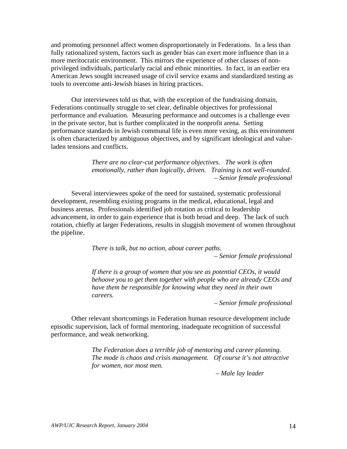and promoting personnel affect women disproportionately in Federations. In a less than fully rationalized system, factors such as gender bias can exert more influence than in a more meritocratic environment. This mirrors the experience of other classes of nonprivileged individuals, particularly racial and ethnic minorities. In fact, in an earlier era American Jews sought increased usage of civil service exams and standardized testing as tools to overcome anti-Jewish biases in hiring practices.

Our interviewees told us that, with the exception of the fundraising domain, Federations continually struggle to set clear, definable objectives for professional performance and evaluation. Measuring performance and outcomes is a challenge even in the private sector, but is further complicated in the nonprofit arena. Setting performance standards in Jewish communal life is even more vexing, as this environment is often characterized by ambiguous objectives, and by significant ideological and valueladen tensions and conflicts.

> *There are no clear-cut performance objectives. The work is often emotionally, rather than logically, driven. Training is not well-rounded. – Senior female professional*

Several interviewees spoke of the need for sustained, systematic professional development, resembling existing programs in the medical, educational, legal and business arenas. Professionals identified job rotation as critical to leadership advancement, in order to gain experience that is both broad and deep. The lack of such rotation, chiefly at larger Federations, results in sluggish movement of women throughout the pipeline.

*There is talk, but no action, about career paths.* 

*– Senior female professional* 

*If there is a group of women that you see as potential CEOs, it would behoove you to get them together with people who are already CEOs and have them be responsible for knowing what they need in their own careers.* 

*– Senior female professional* 

Other relevant shortcomings in Federation human resource development include episodic supervision, lack of formal mentoring, inadequate recognition of successful performance, and weak networking.

> *The Federation does a terrible job of mentoring and career planning. The mode is chaos and crisis management. Of course it's not attractive for women, nor most men.*

> > *– Male lay leader*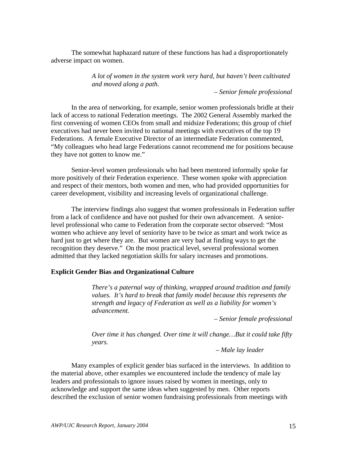The somewhat haphazard nature of these functions has had a disproportionately adverse impact on women.

> *A lot of women in the system work very hard, but haven't been cultivated and moved along a path.*

> > *– Senior female professional*

In the area of networking, for example, senior women professionals bridle at their lack of access to national Federation meetings. The 2002 General Assembly marked the first convening of women CEOs from small and midsize Federations; this group of chief executives had never been invited to national meetings with executives of the top 19 Federations. A female Executive Director of an intermediate Federation commented, "My colleagues who head large Federations cannot recommend me for positions because they have not gotten to know me."

Senior-level women professionals who had been mentored informally spoke far more positively of their Federation experience. These women spoke with appreciation and respect of their mentors, both women and men, who had provided opportunities for career development, visibility and increasing levels of organizational challenge.

The interview findings also suggest that women professionals in Federation suffer from a lack of confidence and have not pushed for their own advancement. A seniorlevel professional who came to Federation from the corporate sector observed: "Most women who achieve any level of seniority have to be twice as smart and work twice as hard just to get where they are. But women are very bad at finding ways to get the recognition they deserve." On the most practical level, several professional women admitted that they lacked negotiation skills for salary increases and promotions.

#### **Explicit Gender Bias and Organizational Culture**

*There's a paternal way of thinking, wrapped around tradition and family values. It's hard to break that family model because this represents the strength and legacy of Federation as well as a liability for women's advancement.* 

*– Senior female professional* 

*Over time it has changed. Over time it will change…But it could take fifty years.* 

 *– Male lay leader* 

Many examples of explicit gender bias surfaced in the interviews. In addition to the material above, other examples we encountered include the tendency of male lay leaders and professionals to ignore issues raised by women in meetings, only to acknowledge and support the same ideas when suggested by men. Other reports described the exclusion of senior women fundraising professionals from meetings with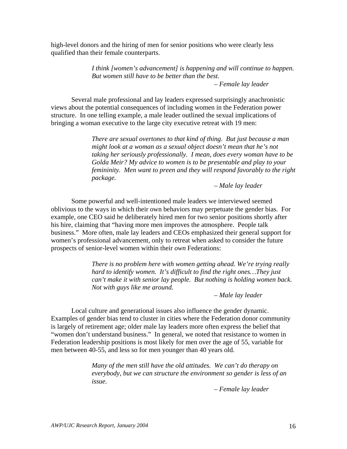high-level donors and the hiring of men for senior positions who were clearly less qualified than their female counterparts.

> *I think [women's advancement] is happening and will continue to happen. But women still have to be better than the best.*

*– Female lay leader* 

Several male professional and lay leaders expressed surprisingly anachronistic views about the potential consequences of including women in the Federation power structure. In one telling example, a male leader outlined the sexual implications of bringing a woman executive to the large city executive retreat with 19 men:

> *There are sexual overtones to that kind of thing. But just because a man might look at a woman as a sexual object doesn't mean that he's not taking her seriously professionally. I mean, does every woman have to be Golda Meir? My advice to women is to be presentable and play to your femininity. Men want to preen and they will respond favorably to the right package.*

> > *– Male lay leader*

Some powerful and well-intentioned male leaders we interviewed seemed oblivious to the ways in which their own behaviors may perpetuate the gender bias. For example, one CEO said he deliberately hired men for two senior positions shortly after his hire, claiming that "having more men improves the atmosphere. People talk business." More often, male lay leaders and CEOs emphasized their general support for women's professional advancement, only to retreat when asked to consider the future prospects of senior-level women within their *own* Federations:

> *There is no problem here with women getting ahead. We're trying really hard to identify women. It's difficult to find the right ones…They just can't make it with senior lay people. But nothing is holding women back. Not with guys like me around.*

> > *– Male lay leader*

Local culture and generational issues also influence the gender dynamic. Examples of gender bias tend to cluster in cities where the Federation donor community is largely of retirement age; older male lay leaders more often express the belief that "women don't understand business." In general, we noted that resistance to women in Federation leadership positions is most likely for men over the age of 55, variable for men between 40-55, and less so for men younger than 40 years old.

> *Many of the men still have the old attitudes. We can't do therapy on everybody, but we can structure the environment so gender is less of an issue.*

> > – *Female lay leader*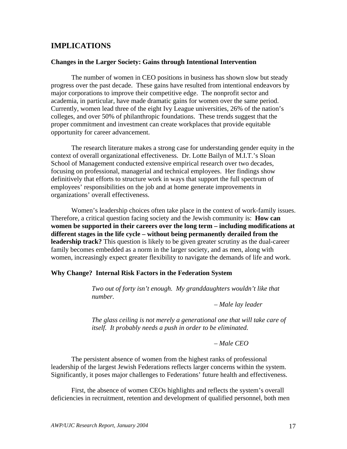## **IMPLICATIONS**

#### **Changes in the Larger Society: Gains through Intentional Intervention**

The number of women in CEO positions in business has shown slow but steady progress over the past decade. These gains have resulted from intentional endeavors by major corporations to improve their competitive edge. The nonprofit sector and academia, in particular, have made dramatic gains for women over the same period. Currently, women lead three of the eight Ivy League universities, 26% of the nation's colleges, and over 50% of philanthropic foundations. These trends suggest that the proper commitment and investment can create workplaces that provide equitable opportunity for career advancement.

The research literature makes a strong case for understanding gender equity in the context of overall organizational effectiveness. Dr. Lotte Bailyn of M.I.T.'s Sloan School of Management conducted extensive empirical research over two decades, focusing on professional, managerial and technical employees. Her findings show definitively that efforts to structure work in ways that support the full spectrum of employees' responsibilities on the job and at home generate improvements in organizations' overall effectiveness.

Women's leadership choices often take place in the context of work-family issues. Therefore, a critical question facing society and the Jewish community is: **How can women be supported in their careers over the long term – including modifications at different stages in the life cycle – without being permanently derailed from the leadership track?** This question is likely to be given greater scrutiny as the dual-career family becomes embedded as a norm in the larger society, and as men, along with women, increasingly expect greater flexibility to navigate the demands of life and work.

#### **Why Change? Internal Risk Factors in the Federation System**

*Two out of forty isn't enough. My granddaughters wouldn't like that number.* 

*– Male lay leader* 

*The glass ceiling is not merely a generational one that will take care of itself. It probably needs a push in order to be eliminated.* 

*– Male CEO* 

The persistent absence of women from the highest ranks of professional leadership of the largest Jewish Federations reflects larger concerns within the system. Significantly, it poses major challenges to Federations' future health and effectiveness.

First, the absence of women CEOs highlights and reflects the system's overall deficiencies in recruitment, retention and development of qualified personnel, both men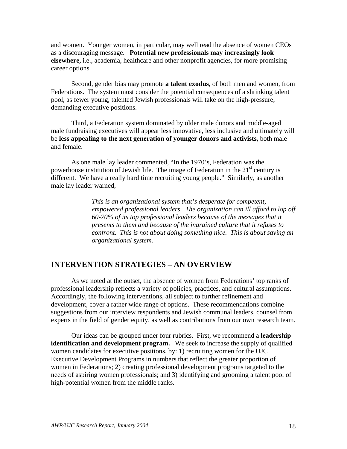and women. Younger women, in particular, may well read the absence of women CEOs as a discouraging message. **Potential new professionals may increasingly look elsewhere,** i.e., academia, healthcare and other nonprofit agencies, for more promising career options.

Second, gender bias may promote **a talent exodus**, of both men and women, from Federations. The system must consider the potential consequences of a shrinking talent pool, as fewer young, talented Jewish professionals will take on the high-pressure, demanding executive positions.

Third, a Federation system dominated by older male donors and middle-aged male fundraising executives will appear less innovative, less inclusive and ultimately will be **less appealing to the next generation of younger donors and activists,** both male and female.

As one male lay leader commented, "In the 1970's, Federation was the powerhouse institution of Jewish life. The image of Federation in the  $21<sup>st</sup>$  century is different. We have a really hard time recruiting young people." Similarly, as another male lay leader warned,

> *This is an organizational system that's desperate for competent, empowered professional leaders. The organization can ill afford to lop off 60-70% of its top professional leaders because of the messages that it presents to them and because of the ingrained culture that it refuses to confront. This is not about doing something nice. This is about saving an organizational system.*

## **INTERVENTION STRATEGIES – AN OVERVIEW**

As we noted at the outset, the absence of women from Federations' top ranks of professional leadership reflects a variety of policies, practices, and cultural assumptions. Accordingly, the following interventions, all subject to further refinement and development, cover a rather wide range of options. These recommendations combine suggestions from our interview respondents and Jewish communal leaders, counsel from experts in the field of gender equity, as well as contributions from our own research team.

Our ideas can be grouped under four rubrics. First, we recommend a **leadership identification and development program.** We seek to increase the supply of qualified women candidates for executive positions, by: 1) recruiting women for the UJC Executive Development Programs in numbers that reflect the greater proportion of women in Federations; 2) creating professional development programs targeted to the needs of aspiring women professionals; and 3) identifying and grooming a talent pool of high-potential women from the middle ranks.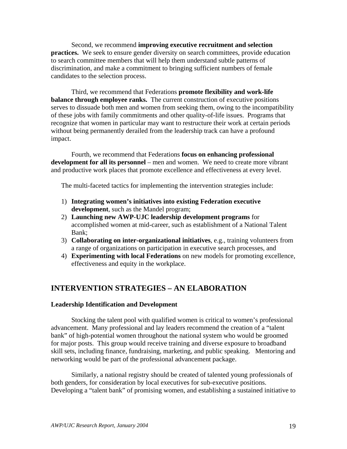Second, we recommend **improving executive recruitment and selection practices.** We seek to ensure gender diversity on search committees, provide education to search committee members that will help them understand subtle patterns of discrimination, and make a commitment to bringing sufficient numbers of female candidates to the selection process.

Third, we recommend that Federations **promote flexibility and work-life balance through employee ranks.** The current construction of executive positions serves to dissuade both men and women from seeking them, owing to the incompatibility of these jobs with family commitments and other quality-of-life issues. Programs that recognize that women in particular may want to restructure their work at certain periods without being permanently derailed from the leadership track can have a profound impact.

Fourth, we recommend that Federations **focus on enhancing professional development for all its personnel** – men and women. We need to create more vibrant and productive work places that promote excellence and effectiveness at every level.

The multi-faceted tactics for implementing the intervention strategies include:

- 1) **Integrating women's initiatives into existing Federation executive development**, such as the Mandel program;
- 2) **Launching new AWP-UJC leadership development programs** for accomplished women at mid-career, such as establishment of a National Talent Bank;
- 3) **Collaborating on inter-organizational initiatives**, e.g., training volunteers from a range of organizations on participation in executive search processes, and
- 4) **Experimenting with local Federations** on new models for promoting excellence, effectiveness and equity in the workplace.

## **INTERVENTION STRATEGIES – AN ELABORATION**

#### **Leadership Identification and Development**

Stocking the talent pool with qualified women is critical to women's professional advancement. Many professional and lay leaders recommend the creation of a "talent bank" of high-potential women throughout the national system who would be groomed for major posts. This group would receive training and diverse exposure to broadband skill sets, including finance, fundraising, marketing, and public speaking. Mentoring and networking would be part of the professional advancement package.

Similarly, a national registry should be created of talented young professionals of both genders, for consideration by local executives for sub-executive positions. Developing a "talent bank" of promising women, and establishing a sustained initiative to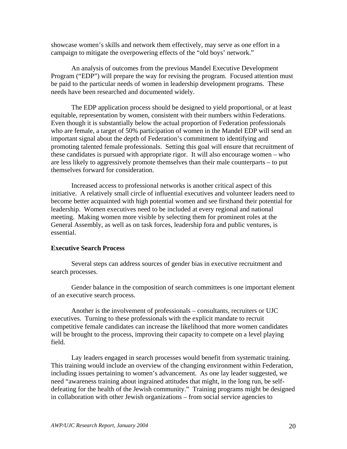showcase women's skills and network them effectively, may serve as one effort in a campaign to mitigate the overpowering effects of the "old boys' network."

An analysis of outcomes from the previous Mandel Executive Development Program ("EDP") will prepare the way for revising the program. Focused attention must be paid to the particular needs of women in leadership development programs. These needs have been researched and documented widely.

The EDP application process should be designed to yield proportional, or at least equitable, representation by women, consistent with their numbers within Federations. Even though it is substantially below the actual proportion of Federation professionals who are female, a target of 50% participation of women in the Mandel EDP will send an important signal about the depth of Federation's commitment to identifying and promoting talented female professionals. Setting this goal will ensure that recruitment of these candidates is pursued with appropriate rigor. It will also encourage women – who are less likely to aggressively promote themselves than their male counterparts – to put themselves forward for consideration.

 Increased access to professional networks is another critical aspect of this initiative. A relatively small circle of influential executives and volunteer leaders need to become better acquainted with high potential women and see firsthand their potential for leadership. Women executives need to be included at every regional and national meeting. Making women more visible by selecting them for prominent roles at the General Assembly, as well as on task forces, leadership fora and public ventures, is essential.

#### **Executive Search Process**

Several steps can address sources of gender bias in executive recruitment and search processes.

Gender balance in the composition of search committees is one important element of an executive search process.

Another is the involvement of professionals – consultants, recruiters or UJC executives. Turning to these professionals with the explicit mandate to recruit competitive female candidates can increase the likelihood that more women candidates will be brought to the process, improving their capacity to compete on a level playing field.

Lay leaders engaged in search processes would benefit from systematic training. This training would include an overview of the changing environment within Federation, including issues pertaining to women's advancement. As one lay leader suggested, we need "awareness training about ingrained attitudes that might, in the long run, be selfdefeating for the health of the Jewish community." Training programs might be designed in collaboration with other Jewish organizations – from social service agencies to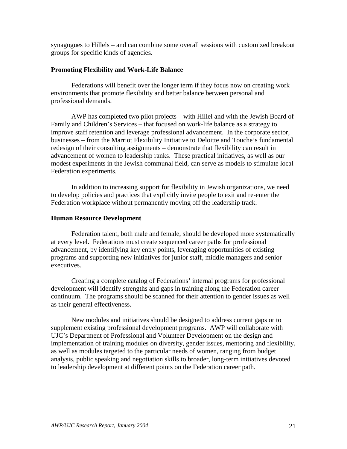synagogues to Hillels – and can combine some overall sessions with customized breakout groups for specific kinds of agencies.

#### **Promoting Flexibility and Work-Life Balance**

Federations will benefit over the longer term if they focus now on creating work environments that promote flexibility and better balance between personal and professional demands.

AWP has completed two pilot projects – with Hillel and with the Jewish Board of Family and Children's Services – that focused on work-life balance as a strategy to improve staff retention and leverage professional advancement. In the corporate sector, businesses – from the Marriot Flexibility Initiative to Deloitte and Touche's fundamental redesign of their consulting assignments – demonstrate that flexibility can result in advancement of women to leadership ranks. These practical initiatives, as well as our modest experiments in the Jewish communal field, can serve as models to stimulate local Federation experiments.

In addition to increasing support for flexibility in Jewish organizations, we need to develop policies and practices that explicitly invite people to exit and re-enter the Federation workplace without permanently moving off the leadership track.

#### **Human Resource Development**

Federation talent, both male and female, should be developed more systematically at every level. Federations must create sequenced career paths for professional advancement, by identifying key entry points, leveraging opportunities of existing programs and supporting new initiatives for junior staff, middle managers and senior executives.

Creating a complete catalog of Federations' internal programs for professional development will identify strengths and gaps in training along the Federation career continuum. The programs should be scanned for their attention to gender issues as well as their general effectiveness.

New modules and initiatives should be designed to address current gaps or to supplement existing professional development programs. AWP will collaborate with UJC's Department of Professional and Volunteer Development on the design and implementation of training modules on diversity, gender issues, mentoring and flexibility, as well as modules targeted to the particular needs of women, ranging from budget analysis, public speaking and negotiation skills to broader, long-term initiatives devoted to leadership development at different points on the Federation career path.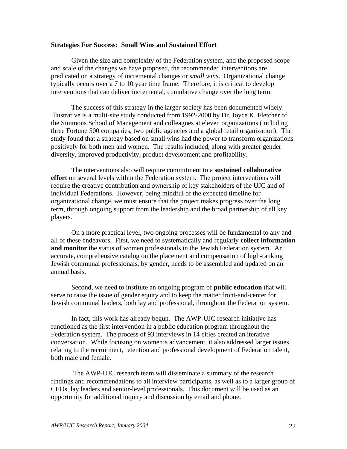#### **Strategies For Success: Small Wins and Sustained Effort**

Given the size and complexity of the Federation system, and the proposed scope and scale of the changes we have proposed, the recommended interventions are predicated on a strategy of incremental changes or *small wins*. Organizational change typically occurs over a 7 to 10 year time frame. Therefore, it is critical to develop interventions that can deliver incremental, cumulative change over the long term.

The success of this strategy in the larger society has been documented widely. Illustrative is a multi-site study conducted from 1992-2000 by Dr. Joyce K. Fletcher of the Simmons School of Management and colleagues at eleven organizations (including three Fortune 500 companies, two public agencies and a global retail organization). The study found that a strategy based on small wins had the power to transform organizations positively for both men and women. The results included, along with greater gender diversity, improved productivity, product development and profitability.

The interventions also will require commitment to a **sustained collaborative effort** on several levels within the Federation system. The project interventions will require the creative contribution and ownership of key stakeholders of the UJC and of individual Federations. However, being mindful of the expected timeline for organizational change, we must ensure that the project makes progress over the long term, through ongoing support from the leadership and the broad partnership of all key players.

On a more practical level, two ongoing processes will be fundamental to any and all of these endeavors. First, we need to systematically and regularly **collect information and monitor** the status of women professionals in the Jewish Federation system. An accurate, comprehensive catalog on the placement and compensation of high-ranking Jewish communal professionals, by gender, needs to be assembled and updated on an annual basis.

Second, we need to institute an ongoing program of **public education** that will serve to raise the issue of gender equity and to keep the matter front-and-center for Jewish communal leaders, both lay and professional, throughout the Federation system.

In fact, this work has already begun. The AWP-UJC research initiative has functioned as the first intervention in a public education program throughout the Federation system. The process of 93 interviews in 14 cities created an iterative conversation. While focusing on women's advancement, it also addressed larger issues relating to the recruitment, retention and professional development of Federation talent, both male and female.

 The AWP-UJC research team will disseminate a summary of the research findings and recommendations to all interview participants, as well as to a larger group of CEOs, lay leaders and senior-level professionals. This document will be used as an opportunity for additional inquiry and discussion by email and phone.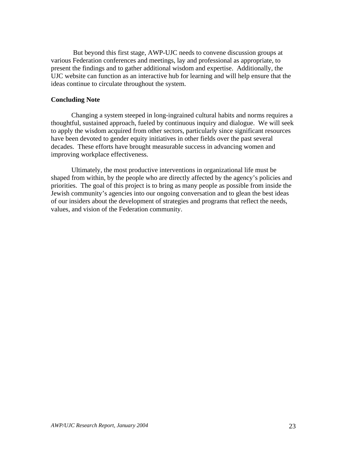But beyond this first stage, AWP-UJC needs to convene discussion groups at various Federation conferences and meetings, lay and professional as appropriate, to present the findings and to gather additional wisdom and expertise. Additionally, the UJC website can function as an interactive hub for learning and will help ensure that the ideas continue to circulate throughout the system.

#### **Concluding Note**

Changing a system steeped in long-ingrained cultural habits and norms requires a thoughtful, sustained approach, fueled by continuous inquiry and dialogue. We will seek to apply the wisdom acquired from other sectors, particularly since significant resources have been devoted to gender equity initiatives in other fields over the past several decades. These efforts have brought measurable success in advancing women and improving workplace effectiveness.

Ultimately, the most productive interventions in organizational life must be shaped from within, by the people who are directly affected by the agency's policies and priorities. The goal of this project is to bring as many people as possible from inside the Jewish community's agencies into our ongoing conversation and to glean the best ideas of our insiders about the development of strategies and programs that reflect the needs, values, and vision of the Federation community.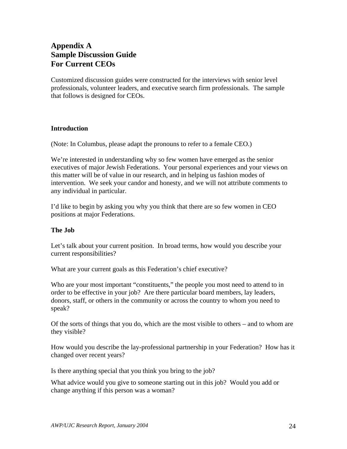## **Appendix A Sample Discussion Guide For Current CEOs**

Customized discussion guides were constructed for the interviews with senior level professionals, volunteer leaders, and executive search firm professionals. The sample that follows is designed for CEOs.

#### **Introduction**

(Note: In Columbus, please adapt the pronouns to refer to a female CEO.)

We're interested in understanding why so few women have emerged as the senior executives of major Jewish Federations. Your personal experiences and your views on this matter will be of value in our research, and in helping us fashion modes of intervention. We seek your candor and honesty, and we will not attribute comments to any individual in particular.

I'd like to begin by asking you why you think that there are so few women in CEO positions at major Federations.

#### **The Job**

Let's talk about your current position. In broad terms, how would you describe your current responsibilities?

What are your current goals as this Federation's chief executive?

Who are your most important "constituents," the people you most need to attend to in order to be effective in your job? Are there particular board members, lay leaders, donors, staff, or others in the community or across the country to whom you need to speak?

Of the sorts of things that you do, which are the most visible to others – and to whom are they visible?

How would you describe the lay-professional partnership in your Federation? How has it changed over recent years?

Is there anything special that you think you bring to the job?

What advice would you give to someone starting out in this job? Would you add or change anything if this person was a woman?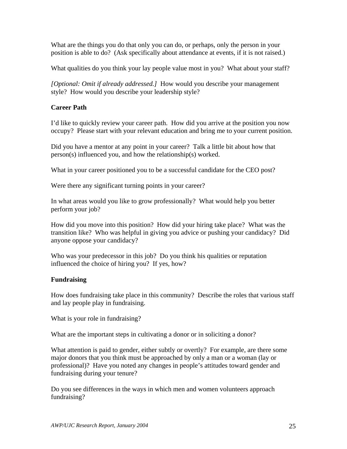What are the things you do that only you can do, or perhaps, only the person in your position is able to do? (Ask specifically about attendance at events, if it is not raised.)

What qualities do you think your lay people value most in you? What about your staff?

*[Optional: Omit if already addressed.]* How would you describe your management style? How would you describe your leadership style?

## **Career Path**

I'd like to quickly review your career path. How did you arrive at the position you now occupy? Please start with your relevant education and bring me to your current position.

Did you have a mentor at any point in your career? Talk a little bit about how that person(s) influenced you, and how the relationship(s) worked.

What in your career positioned you to be a successful candidate for the CEO post?

Were there any significant turning points in your career?

In what areas would you like to grow professionally? What would help you better perform your job?

How did you move into this position? How did your hiring take place? What was the transition like? Who was helpful in giving you advice or pushing your candidacy? Did anyone oppose your candidacy?

Who was your predecessor in this job? Do you think his qualities or reputation influenced the choice of hiring you? If yes, how?

## **Fundraising**

How does fundraising take place in this community? Describe the roles that various staff and lay people play in fundraising.

What is your role in fundraising?

What are the important steps in cultivating a donor or in soliciting a donor?

What attention is paid to gender, either subtly or overtly? For example, are there some major donors that you think must be approached by only a man or a woman (lay or professional)? Have you noted any changes in people's attitudes toward gender and fundraising during your tenure?

Do you see differences in the ways in which men and women volunteers approach fundraising?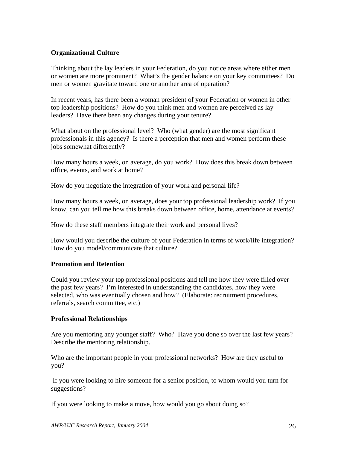## **Organizational Culture**

Thinking about the lay leaders in your Federation, do you notice areas where either men or women are more prominent? What's the gender balance on your key committees? Do men or women gravitate toward one or another area of operation?

In recent years, has there been a woman president of your Federation or women in other top leadership positions? How do you think men and women are perceived as lay leaders? Have there been any changes during your tenure?

What about on the professional level? Who (what gender) are the most significant professionals in this agency? Is there a perception that men and women perform these jobs somewhat differently?

How many hours a week, on average, do you work? How does this break down between office, events, and work at home?

How do you negotiate the integration of your work and personal life?

How many hours a week, on average, does your top professional leadership work? If you know, can you tell me how this breaks down between office, home, attendance at events?

How do these staff members integrate their work and personal lives?

How would you describe the culture of your Federation in terms of work/life integration? How do you model/communicate that culture?

#### **Promotion and Retention**

Could you review your top professional positions and tell me how they were filled over the past few years? I'm interested in understanding the candidates, how they were selected, who was eventually chosen and how? (Elaborate: recruitment procedures, referrals, search committee, etc.)

#### **Professional Relationships**

Are you mentoring any younger staff? Who? Have you done so over the last few years? Describe the mentoring relationship.

Who are the important people in your professional networks? How are they useful to you?

 If you were looking to hire someone for a senior position, to whom would you turn for suggestions?

If you were looking to make a move, how would you go about doing so?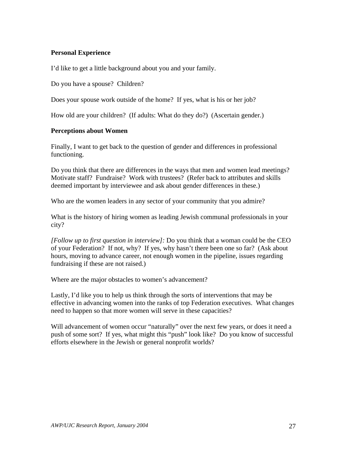#### **Personal Experience**

I'd like to get a little background about you and your family.

Do you have a spouse? Children?

Does your spouse work outside of the home? If yes, what is his or her job?

How old are your children? (If adults: What do they do?) (Ascertain gender.)

#### **Perceptions about Women**

Finally, I want to get back to the question of gender and differences in professional functioning.

Do you think that there are differences in the ways that men and women lead meetings? Motivate staff? Fundraise? Work with trustees? (Refer back to attributes and skills deemed important by interviewee and ask about gender differences in these.)

Who are the women leaders in any sector of your community that you admire?

What is the history of hiring women as leading Jewish communal professionals in your city?

*[Follow up to first question in interview]:* Do you think that a woman could be the CEO of your Federation? If not, why? If yes, why hasn't there been one so far? (Ask about hours, moving to advance career, not enough women in the pipeline, issues regarding fundraising if these are not raised.)

Where are the major obstacles to women's advancement?

Lastly, I'd like you to help us think through the sorts of interventions that may be effective in advancing women into the ranks of top Federation executives. What changes need to happen so that more women will serve in these capacities?

Will advancement of women occur "naturally" over the next few years, or does it need a push of some sort? If yes, what might this "push" look like? Do you know of successful efforts elsewhere in the Jewish or general nonprofit worlds?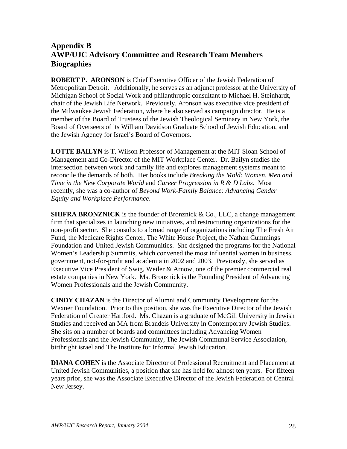## **Appendix B AWP/UJC Advisory Committee and Research Team Members Biographies**

**ROBERT P. ARONSON** is Chief Executive Officer of the Jewish Federation of Metropolitan Detroit. Additionally, he serves as an adjunct professor at the University of Michigan School of Social Work and philanthropic consultant to Michael H. Steinhardt, chair of the Jewish Life Network. Previously, Aronson was executive vice president of the Milwaukee Jewish Federation, where he also served as campaign director. He is a member of the Board of Trustees of the Jewish Theological Seminary in New York, the Board of Overseers of its William Davidson Graduate School of Jewish Education, and the Jewish Agency for Israel's Board of Governors.

**LOTTE BAILYN** is T. Wilson Professor of Management at the MIT Sloan School of Management and Co-Director of the MIT Workplace Center. Dr. Bailyn studies the intersection between work and family life and explores management systems meant to reconcile the demands of both. Her books include *Breaking the Mold: Women, Men and Time in the New Corporate World* and *Career Progression in R & D Labs*. Most recently, she was a co-author of *Beyond Work-Family Balance: Advancing Gender Equity and Workplace Performance*.

**SHIFRA BRONZNICK** is the founder of Bronznick & Co., LLC, a change management firm that specializes in launching new initiatives, and restructuring organizations for the non-profit sector. She consults to a broad range of organizations including The Fresh Air Fund, the Medicare Rights Center, The White House Project, the Nathan Cummings Foundation and United Jewish Communities. She designed the programs for the National Women's Leadership Summits, which convened the most influential women in business, government, not-for-profit and academia in 2002 and 2003. Previously, she served as Executive Vice President of Swig, Weiler & Arnow, one of the premier commercial real estate companies in New York. Ms. Bronznick is the Founding President of Advancing Women Professionals and the Jewish Community.

**CINDY CHAZAN** is the Director of Alumni and Community Development for the Wexner Foundation. Prior to this position, she was the Executive Director of the Jewish Federation of Greater Hartford. Ms. Chazan is a graduate of McGill University in Jewish Studies and received an MA from Brandeis University in Contemporary Jewish Studies. She sits on a number of boards and committees including Advancing Women Professionals and the Jewish Community, The Jewish Communal Service Association, birthright israel and The Institute for Informal Jewish Education.

**DIANA COHEN** is the Associate Director of Professional Recruitment and Placement at United Jewish Communities, a position that she has held for almost ten years. For fifteen years prior, she was the Associate Executive Director of the Jewish Federation of Central New Jersey.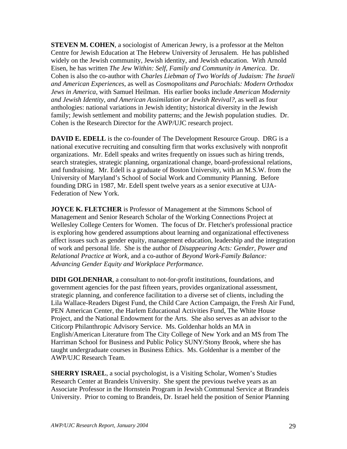**STEVEN M. COHEN,** a sociologist of American Jewry, is a professor at the Melton Centre for Jewish Education at The Hebrew University of Jerusalem. He has published widely on the Jewish community, Jewish identity, and Jewish education. With Arnold Eisen, he has written *The Jew Within: Self, Family and Community in America*. Dr. Cohen is also the co-author with *Charles Liebman of Two Worlds of Judaism: The Israeli and American Experiences*, as well as *Cosmopolitans and Parochials: Modern Orthodox Jews in America,* with Samuel Heilman. His earlier books include *American Modernity and Jewish Identity, and American Assimilation or Jewish Revival?,* as well as four anthologies: national variations in Jewish identity; historical diversity in the Jewish family; Jewish settlement and mobility patterns; and the Jewish population studies. Dr. Cohen is the Research Director for the AWP/UJC research project.

**DAVID E. EDELL** is the co-founder of The Development Resource Group. DRG is a national executive recruiting and consulting firm that works exclusively with nonprofit organizations. Mr. Edell speaks and writes frequently on issues such as hiring trends, search strategies, strategic planning, organizational change, board-professional relations, and fundraising. Mr. Edell is a graduate of Boston University, with an M.S.W. from the University of Maryland's School of Social Work and Community Planning. Before founding DRG in 1987, Mr. Edell spent twelve years as a senior executive at UJA-Federation of New York.

**JOYCE K. FLETCHER** is Professor of Management at the Simmons School of Management and Senior Research Scholar of the Working Connections Project at Wellesley College Centers for Women. The focus of Dr. Fletcher's professional practice is exploring how gendered assumptions about learning and organizational effectiveness affect issues such as gender equity, management education, leadership and the integration of work and personal life. She is the author of *Disappearing Acts: Gender, Power and Relational Practice at Work,* and a co-author of *Beyond Work-Family Balance: Advancing Gender Equity and Workplace Performance.* 

**DIDI GOLDENHAR**, a consultant to not-for-profit institutions, foundations, and government agencies for the past fifteen years, provides organizational assessment, strategic planning, and conference facilitation to a diverse set of clients, including the Lila Wallace-Readers Digest Fund, the Child Care Action Campaign, the Fresh Air Fund, PEN American Center, the Harlem Educational Activities Fund, The White House Project, and the National Endowment for the Arts. She also serves as an advisor to the Citicorp Philanthropic Advisory Service. Ms. Goldenhar holds an MA in English/American Literature from The City College of New York and an MS from The Harriman School for Business and Public Policy SUNY/Stony Brook, where she has taught undergraduate courses in Business Ethics. Ms. Goldenhar is a member of the AWP/UJC Research Team.

**SHERRY ISRAEL**, a social psychologist, is a Visiting Scholar, Women's Studies Research Center at Brandeis University. She spent the previous twelve years as an Associate Professor in the Hornstein Program in Jewish Communal Service at Brandeis University. Prior to coming to Brandeis, Dr. Israel held the position of Senior Planning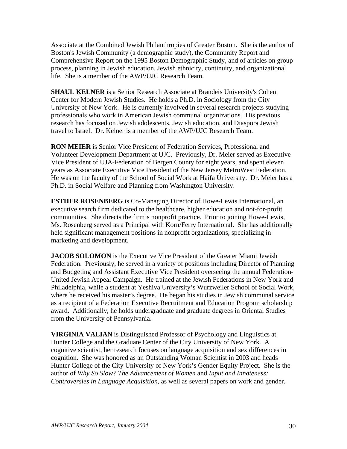Associate at the Combined Jewish Philanthropies of Greater Boston. She is the author of Boston's Jewish Community (a demographic study), the Community Report and Comprehensive Report on the 1995 Boston Demographic Study, and of articles on group process, planning in Jewish education, Jewish ethnicity, continuity, and organizational life. She is a member of the AWP/UJC Research Team.

**SHAUL KELNER** is a Senior Research Associate at Brandeis University's Cohen Center for Modern Jewish Studies. He holds a Ph.D. in Sociology from the City University of New York. He is currently involved in several research projects studying professionals who work in American Jewish communal organizations. His previous research has focused on Jewish adolescents, Jewish education, and Diaspora Jewish travel to Israel. Dr. Kelner is a member of the AWP/UJC Research Team.

**RON MEIER** is Senior Vice President of Federation Services, Professional and Volunteer Development Department at UJC. Previously, Dr. Meier served as Executive Vice President of UJA-Federation of Bergen County for eight years, and spent eleven years as Associate Executive Vice President of the New Jersey MetroWest Federation. He was on the faculty of the School of Social Work at Haifa University. Dr. Meier has a Ph.D. in Social Welfare and Planning from Washington University.

**ESTHER ROSENBERG** is Co-Managing Director of Howe-Lewis International, an executive search firm dedicated to the healthcare, higher education and not-for-profit communities. She directs the firm's nonprofit practice. Prior to joining Howe-Lewis, Ms. Rosenberg served as a Principal with Korn/Ferry International. She has additionally held significant management positions in nonprofit organizations, specializing in marketing and development.

**JACOB SOLOMON** is the Executive Vice President of the Greater Miami Jewish Federation. Previously, he served in a variety of positions including Director of Planning and Budgeting and Assistant Executive Vice President overseeing the annual Federation-United Jewish Appeal Campaign. He trained at the Jewish Federations in New York and Philadelphia, while a student at Yeshiva University's Wurzweiler School of Social Work, where he received his master's degree. He began his studies in Jewish communal service as a recipient of a Federation Executive Recruitment and Education Program scholarship award. Additionally, he holds undergraduate and graduate degrees in Oriental Studies from the University of Pennsylvania.

**VIRGINIA VALIAN** is Distinguished Professor of Psychology and Linguistics at Hunter College and the Graduate Center of the City University of New York. A cognitive scientist, her research focuses on language acquisition and sex differences in cognition. She was honored as an Outstanding Woman Scientist in 2003 and heads Hunter College of the City University of New York's Gender Equity Project. She is the author of *Why So Slow? The Advancement of Women* and *Input and Innateness: Controversies in Language Acquisition,* as well as several papers on work and gender.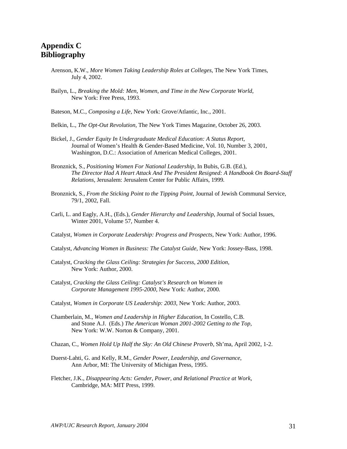## **Appendix C Bibliography**

- Arenson, K.W., *More Women Taking Leadership Roles at Colleges,* The New York Times, July 4, 2002.
- Bailyn, L.*, Breaking the Mold: Men, Women, and Time in the New Corporate World*, New York: Free Press, 1993.
- Bateson, M.C., *Composing a Life,* New York: Grove/Atlantic, Inc., 2001.
- Belkin, L., *The Opt-Out Revolution,* The New York Times Magazine, October 26, 2003.
- Bickel, J., *Gender Equity In Undergraduate Medical Education: A Status Report,* Journal of Women's Health & Gender-Based Medicine, Vol. 10, Number 3, 2001, Washington, D.C.: Association of American Medical Colleges, 2001.
- Bronznick, S., *Positioning Women For National Leadership,* In Bubis, G.B. (Ed.), *The Director Had A Heart Attack And The President Resigned: A Handbook On Board-Staff Relations,* Jerusalem: Jerusalem Center for Public Affairs*,* 1999*.*
- Bronznick, S., *From the Sticking Point to the Tipping Point,* Journal of Jewish Communal Service, 79/1, 2002, Fall.
- Carli, L. and Eagly, A.H., (Eds.), *Gender Hierarchy and Leadership*, Journal of Social Issues, Winter 2001, Volume 57, Number 4.
- Catalyst, *Women in Corporate Leadership: Progress and Prospects,* New York: Author, 1996.
- Catalyst, *Advancing Women in Business: The Catalyst Guide,* New York: Jossey-Bass, 1998.
- Catalyst, *Cracking the Glass Ceiling: Strategies for Success, 2000 Edition*, New York: Author, 2000.
- Catalyst, *Cracking the Glass Ceiling: Catalyst's Research on Women in Corporate Management 1995-2000,* New York: Author, 2000.
- Catalyst, *Women in Corporate US Leadership: 2003,* New York: Author, 2003.
- Chamberlain, M., *Women and Leadership in Higher Education*, In Costello, C.B. and Stone A.J. (Eds.) *The American Woman 2001-2002 Getting to the Top,*  New York: W.W. Norton & Company, 2001.
- Chazan, C., *Women Hold Up Half the Sky: An Old Chinese Proverb,* Sh'ma, April 2002, 1-2.
- Duerst-Lahti, G. and Kelly, R.M., *Gender Power, Leadership, and Governance*, Ann Arbor, MI: The University of Michigan Press, 1995.
- Fletcher, J.K., *Disappearing Acts: Gender, Power, and Relational Practice at Work*, Cambridge, MA: MIT Press, 1999.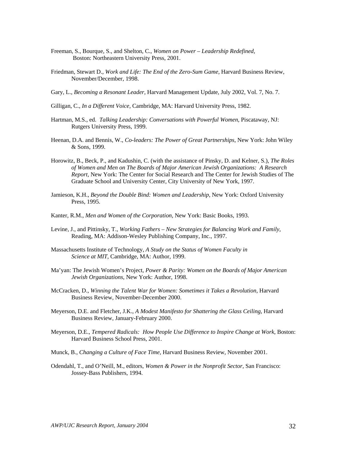- Freeman, S., Bourque, S., and Shelton, C., *Women on Power Leadership Redefined,*  Boston: Northeastern University Press, 2001.
- Friedman, Stewart D., *Work and Life: The End of the Zero-Sum Game,* Harvard Business Review, November/December, 1998.
- Gary, L., *Becoming a Resonant Leader,* Harvard Management Update, July 2002, Vol. 7, No. 7.
- Gilligan, C., *In a Different Voice,* Cambridge, MA: Harvard University Press, 1982.
- Hartman, M.S., ed. *Talking Leadership: Conversations with Powerful Women,* Piscataway, NJ: Rutgers University Press, 1999.
- Heenan, D.A. and Bennis, W., *Co-leaders: The Power of Great Partnerships,* New York: John Wiley & Sons, 1999.
- Horowitz, B., Beck, P., and Kadushin, C. (with the assistance of Pinsky, D. and Kelner, S.), *The Roles of Women and Men on The Boards of Major American Jewish Organizations: A Research Report,* New York: The Center for Social Research and The Center for Jewish Studies of The Graduate School and University Center, City University of New York, 1997.
- Jamieson, K.H., *Beyond the Double Bind: Women and Leadership*, New York: Oxford University Press, 1995.
- Kanter, R.M., *Men and Women of the Corporation,* New York: Basic Books, 1993.
- Levine, J., and Pittinsky, T., *Working Fathers – New Strategies for Balancing Work and Family,*  Reading, MA: Addison-Wesley Publishing Company, Inc., 1997.
- Massachusetts Institute of Technology, *A Study on the Status of Women Faculty in Science at MIT,* Cambridge, MA: Author, 1999.
- Ma'yan: The Jewish Women's Project, *Power & Parity: Women on the Boards of Major American Jewish Organizations,* New York: Author, 1998.
- McCracken, D., *Winning the Talent War for Women: Sometimes it Takes a Revolution,* Harvard Business Review, November-December 2000.
- Meyerson, D.E. and Fletcher, J.K., *A Modest Manifesto for Shattering the Glass Ceiling*, Harvard Business Review, January-February 2000.
- Meyerson, D.E., *Tempered Radicals: How People Use Difference to Inspire Change at Work*, Boston: Harvard Business School Press, 2001.
- Munck, B., *Changing a Culture of Face Time,* Harvard Business Review, November 2001.
- Odendahl, T., and O'Neill, M., editors, *Women & Power in the Nonprofit Sector,* San Francisco: Jossey-Bass Publishers, 1994.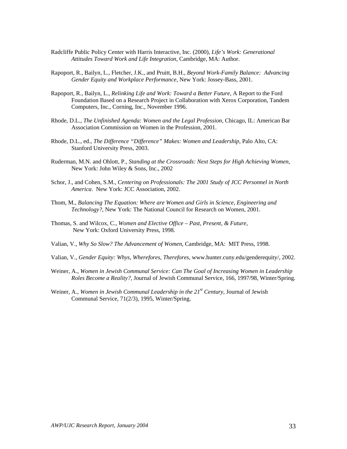- Radcliffe Public Policy Center with Harris Interactive, Inc. (2000), *Life's Work: Generational Attitudes Toward Work and Life Integration,* Cambridge, MA: Author.
- Rapoport, R., Bailyn, L., Fletcher, J.K., and Pruitt, B.H., *Beyond Work-Family Balance: Advancing Gender Equity and Workplace Performance*, New York: Jossey-Bass, 2001.
- Rapoport, R., Bailyn, L., *Relinking Life and Work: Toward a Better Future*, A Report to the Ford Foundation Based on a Research Project in Collaboration with Xerox Corporation, Tandem Computers, Inc., Corning, Inc., November 1996.
- Rhode, D.L., *The Unfinished Agenda: Women and the Legal Profession,* Chicago, IL: American Bar Association Commission on Women in the Profession, 2001.
- Rhode, D.L., ed., *The Difference "Difference" Makes: Women and Leadership,* Palo Alto, CA: Stanford University Press, 2003.
- Ruderman, M.N. and Ohlott, P., *Standing at the Crossroads: Next Steps for High Achieving Women,*  New York: John Wiley & Sons, Inc., 2002
- Schor, J., and Cohen, S.M., *Centering on Professionals: The 2001 Study of JCC Personnel in North America*. New York: JCC Association, 2002.
- Thom, M., *Balancing The Equation: Where are Women and Girls in Science, Engineering and Technology?*, New York: The National Council for Research on Women, 2001.
- Thomas, S. and Wilcox, C., *Women and Elective Office Past, Present, & Future,*  New York: Oxford University Press, 1998.
- Valian, V., *Why So Slow? The Advancement of Women,* Cambridge, MA: MIT Press, 1998.
- Valian, V., *Gender Equity: Whys, Wherefores, Therefores,* www.hunter.cuny.edu/genderequity/, 2002.
- Weiner, A., *Women in Jewish Communal Service: Can The Goal of Increasing Women in Leadership Roles Become a Reality?,* Journal of Jewish Communal Service, 166, 1997/98, Winter/Spring.
- Weiner, A., *Women in Jewish Communal Leadership in the 21<sup>st</sup> Century*, Journal of Jewish Communal Service, 71(2/3), 1995, Winter/Spring.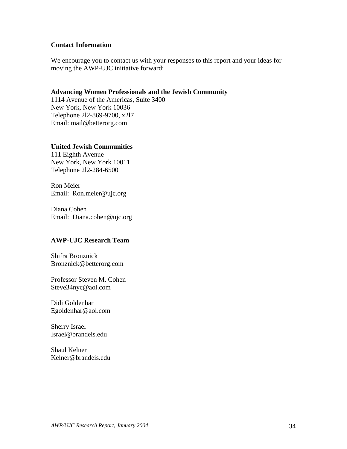#### **Contact Information**

We encourage you to contact us with your responses to this report and your ideas for moving the AWP-UJC initiative forward:

#### **Advancing Women Professionals and the Jewish Community**

1114 Avenue of the Americas, Suite 3400 New York, New York 10036 Telephone 2l2-869-9700, x2l7 Email: mail@betterorg.com

#### **United Jewish Communities**

111 Eighth Avenue New York, New York 10011 Telephone 2l2-284-6500

Ron Meier Email: Ron.meier@ujc.org

Diana Cohen Email: Diana.cohen@ujc.org

## **AWP-UJC Research Team**

Shifra Bronznick Bronznick@betterorg.com

Professor Steven M. Cohen Steve34nyc@aol.com

Didi Goldenhar Egoldenhar@aol.com

Sherry Israel Israel@brandeis.edu

Shaul Kelner Kelner@brandeis.edu